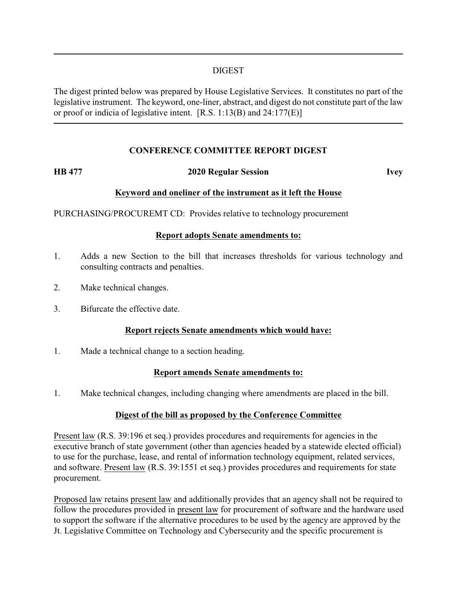### DIGEST

The digest printed below was prepared by House Legislative Services. It constitutes no part of the legislative instrument. The keyword, one-liner, abstract, and digest do not constitute part of the law or proof or indicia of legislative intent. [R.S. 1:13(B) and 24:177(E)]

### **CONFERENCE COMMITTEE REPORT DIGEST**

# **HB 477 2020 Regular Session Ivey**

# **Keyword and oneliner of the instrument as it left the House**

PURCHASING/PROCUREMT CD: Provides relative to technology procurement

### **Report adopts Senate amendments to:**

- 1. Adds a new Section to the bill that increases thresholds for various technology and consulting contracts and penalties.
- 2. Make technical changes.
- 3. Bifurcate the effective date.

### **Report rejects Senate amendments which would have:**

1. Made a technical change to a section heading.

### **Report amends Senate amendments to:**

1. Make technical changes, including changing where amendments are placed in the bill.

# **Digest of the bill as proposed by the Conference Committee**

Present law (R.S. 39:196 et seq.) provides procedures and requirements for agencies in the executive branch of state government (other than agencies headed by a statewide elected official) to use for the purchase, lease, and rental of information technology equipment, related services, and software. Present law (R.S. 39:1551 et seq.) provides procedures and requirements for state procurement.

Proposed law retains present law and additionally provides that an agency shall not be required to follow the procedures provided in present law for procurement of software and the hardware used to support the software if the alternative procedures to be used by the agency are approved by the Jt. Legislative Committee on Technology and Cybersecurity and the specific procurement is